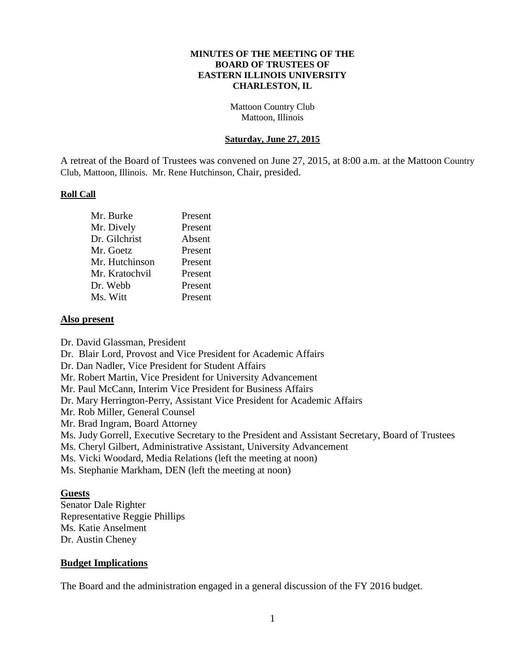#### **MINUTES OF THE MEETING OF THE BOARD OF TRUSTEES OF EASTERN ILLINOIS UNIVERSITY CHARLESTON, IL**

Mattoon Country Club Mattoon, Illinois

### **Saturday, June 27, 2015**

A retreat of the Board of Trustees was convened on June 27, 2015, at 8:00 a.m. at the Mattoon Country Club, Mattoon, Illinois. Mr. Rene Hutchinson, Chair, presided.

### **Roll Call**

| Mr. Burke      | Present |
|----------------|---------|
| Mr. Dively     | Present |
| Dr. Gilchrist  | Absent  |
| Mr. Goetz      | Present |
| Mr. Hutchinson | Present |
| Mr. Kratochvil | Present |
| Dr. Webb       | Present |
| Ms. Witt       | Present |

#### **Also present**

Dr. David Glassman, President

Dr. Blair Lord, Provost and Vice President for Academic Affairs

Dr. Dan Nadler, Vice President for Student Affairs

Mr. Robert Martin, Vice President for University Advancement

Mr. Paul McCann, Interim Vice President for Business Affairs

Dr. Mary Herrington-Perry, Assistant Vice President for Academic Affairs

Mr. Rob Miller, General Counsel

Mr. Brad Ingram, Board Attorney

Ms. Judy Gorrell, Executive Secretary to the President and Assistant Secretary, Board of Trustees

Ms. Cheryl Gilbert, Administrative Assistant, University Advancement

Ms. Vicki Woodard, Media Relations (left the meeting at noon)

Ms. Stephanie Markham, DEN (left the meeting at noon)

### **Guests**

Senator Dale Righter Representative Reggie Phillips Ms. Katie Anselment Dr. Austin Cheney

### **Budget Implications**

The Board and the administration engaged in a general discussion of the FY 2016 budget.